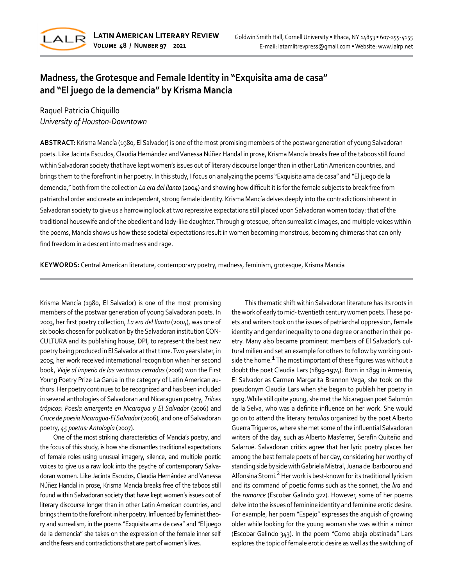

# **Madness, the Grotesque and Female Identity in "Exquisita ama de casa" and "El juego de la demencia" by Krisma Mancía**

# Raquel Patricia Chiquillo *University of Houston-Downtown*

**ABSTRACT:** Krisma Mancía (1980, El Salvador) is one of the most promising members of the postwar generation of young Salvadoran poets. Like Jacinta Escudos, Claudia Hernández and Vanessa Núñez Handal in prose, Krisma Mancía breaks free of the taboos still found within Salvadoran society that have kept women's issues out of literary discourse longer than in other Latin American countries, and brings them to the forefront in her poetry. In this study, I focus on analyzing the poems "Exquisita ama de casa" and "El juego de la demencia," both from the collection *La era del llanto* (2004) and showing how difficult it is for the female subjects to break free from patriarchal order and create an independent, strong female identity. Krisma Mancía delves deeply into the contradictions inherent in Salvadoran society to give us a harrowing look at two repressive expectations still placed upon Salvadoran women today: that of the traditional housewife and of the obedient and lady-like daughter. Through grotesque, often surrealistic images, and multiple voices within the poems, Mancía shows us how these societal expectations result in women becoming monstrous, becoming chimeras that can only find freedom in a descent into madness and rage.

**KEYWORDS:** Central American literature, contemporary poetry, madness, feminism, grotesque, Krisma Mancía

Krisma Mancía (1980, El Salvador) is one of the most promising members of the postwar generation of young Salvadoran poets. In 2003, her first poetry collection, *La era del llanto* (2004), was one of six books chosen for publication by the Salvadoran institution CON-CULTURA and its publishing house, DPI, to represent the best new poetry being produced in El Salvador at that time. Two years later, in 2005, her work received international recognition when her second book, *Viaje al imperio de las ventanas cerradas* (2006) won the First Young Poetry Prize La Garúa in the category of Latin American authors. Her poetry continues to be recognized and has been included in several anthologies of Salvadoran and Nicaraguan poetry, *Trilces trópicos: Poesía emergente en Nicaragua y El Salvador* (2006) and *Cruce de poesía Nicaragua-El Salvador* (2006), and one of Salvadoran poetry, *45 poetas: Antología* (2007).

One of the most striking characteristics of Mancía's poetry, and the focus of this study, is how she dismantles traditional expectations of female roles using unusual imagery, silence, and multiple poetic voices to give us a raw look into the psyche of contemporary Salvadoran women. Like Jacinta Escudos, Claudia Hernández and Vanessa Núñez Handal in prose, Krisma Mancía breaks free of the taboos still found within Salvadoran society that have kept women's issues out of literary discourse longer than in other Latin American countries, and brings them to the forefront in her poetry. Influenced by feminist theory and surrealism, in the poems "Exquisita ama de casa" and "El juego de la demencia" she takes on the expression of the female inner self and the fears and contradictions that are part of women's lives.

This thematic shift within Salvadoran literature has its roots in the work of early to mid- twentieth century women poets. These poets and writers took on the issues of patriarchal oppression, female identity and gender inequality to one degree or another in their poetry. Many also became prominent members of El Salvador's cultural milieu and set an example for others to follow by working outside the home. $1$  The most important of these figures was without a doubt the poet Claudia Lars (1899-1974). Born in 1899 in Armenia, El Salvador as Carmen Margarita Brannon Vega, she took on the pseudonym Claudia Lars when she began to publish her poetry in 1919. While still quite young, she met the Nicaraguan poet Salomón de la Selva, who was a definite influence on her work. She would go on to attend the literary *tertulias* organized by the poet Alberto Guerra Trigueros, where she met some of the influential Salvadoran writers of the day, such as Alberto Masferrer, Serafín Quiteño and Salarrué. Salvadoran critics agree that her lyric poetry places her among the best female poets of her day, considering her worthy of standing side by side with Gabriela Mistral, Juana de Ibarbourou and Alfonsina Storni.<sup>2</sup> Her work is best-known for its traditional lyricism and its command of poetic forms such as the sonnet, the *lira* and the *romance* (Escobar Galindo 322). However, some of her poems delve into the issues of feminine identity and feminine erotic desire. For example, her poem "Espejo" expresses the anguish of growing older while looking for the young woman she was within a mirror (Escobar Galindo 343). In the poem "Como abeja obstinada" Lars explores the topic of female erotic desire as well as the switching of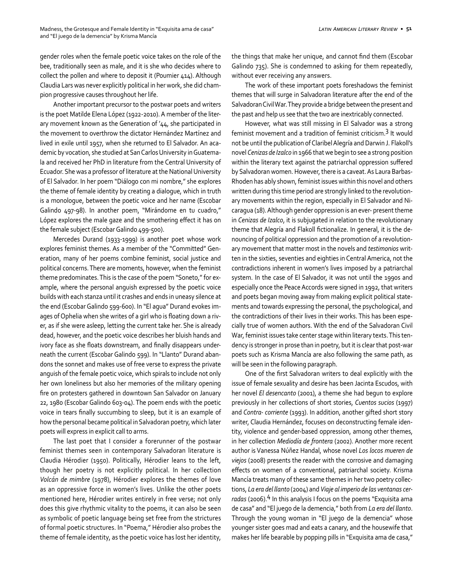gender roles when the female poetic voice takes on the role of the bee, traditionally seen as male, and it is she who decides where to collect the pollen and where to deposit it (Poumier 414). Although Claudia Lars was never explicitly political in her work, she did champion progressive causes throughout her life.

Another important precursor to the postwar poets and writers is the poet Matilde Elena López (1922-2010). A member of the literary movement known as the Generation of '44, she participated in the movement to overthrow the dictator Hernández Martínez and lived in exile until 1957, when she returned to El Salvador. An academic by vocation, she studied at San Carlos University in Guatemala and received her PhD in literature from the Central University of Ecuador. She was a professor of literature at the National University of El Salvador. In her poem "Diálogo con mi nombre," she explores the theme of female identity by creating a dialogue, which in truth is a monologue, between the poetic voice and her name (Escobar Galindo 497-98). In another poem, "Mirándome en tu cuadro," López explores the male gaze and the smothering effect it has on the female subject (Escobar Galindo 499-500).

Mercedes Durand (1933-1999) is another poet whose work explores feminist themes. As a member of the "Committed" Generation, many of her poems combine feminist, social justice and political concerns. There are moments, however, when the feminist theme predominates. This is the case of the poem "Soneto," for example, where the personal anguish expressed by the poetic voice builds with each stanza until it crashes and ends in uneasy silence at the end (Escobar Galindo 599-600). In "El agua" Durand evokes images of Ophelia when she writes of a girl who is floating down a river, as if she were asleep, letting the current take her. She is already dead, however, and the poetic voice describes her bluish hands and ivory face as she floats downstream, and finally disappears underneath the current (Escobar Galindo 599). In "Llanto" Durand abandons the sonnet and makes use of free verse to express the private anguish of the female poetic voice, which spirals to include not only her own loneliness but also her memories of the military opening fire on protesters gathered in downtown San Salvador on January 22, 1980 (Escobar Galindo 603-04). The poem ends with the poetic voice in tears finally succumbing to sleep, but it is an example of how the personal became political in Salvadoran poetry, which later poets will express in explicit call to arms.

The last poet that I consider a forerunner of the postwar feminist themes seen in contemporary Salvadoran literature is Claudia Hérodier (1950). Politically, Hérodier leans to the left, though her poetry is not explicitly political. In her collection *Volcán de mimbre* (1978), Hérodier explores the themes of love as an oppressive force in women's lives. Unlike the other poets mentioned here, Hérodier writes entirely in free verse; not only does this give rhythmic vitality to the poems, it can also be seen as symbolic of poetic language being set free from the strictures of formal poetic structures. In "Poema," Hérodier also probes the theme of female identity, as the poetic voice has lost her identity,

the things that make her unique, and cannot find them (Escobar Galindo 735). She is condemned to asking for them repeatedly, without ever receiving any answers.

The work of these important poets foreshadows the feminist themes that will surge in Salvadoran literature after the end of the Salvadoran Civil War. They provide a bridge between the present and the past and help us see that the two are inextricably connected.

However, what was still missing in El Salvador was a strong feminist movement and a tradition of feminist criticism.3 It would not be until the publication of Claribel Alegría and Darwin J. Flakoll's novel *Cenizas de Izalco* in 1966 that we begin to see a strong position within the literary text against the patriarchal oppression suffered by Salvadoran women. However, there is a caveat. As Laura Barbas-Rhoden has ably shown, feminist issues within this novel and others written during this time period are strongly linked to the revolutionary movements within the region, especially in El Salvador and Nicaragua (18). Although gender oppression is an ever- present theme in *Cenizas de Izalco*, it is subjugated in relation to the revolutionary theme that Alegría and Flakoll fictionalize. In general, it is the denouncing of political oppression and the promotion of a revolutionary movement that matter most in the novels and *testimonios* written in the sixties, seventies and eighties in Central America, not the contradictions inherent in women's lives imposed by a patriarchal system. In the case of El Salvador, it was not until the 1990s and especially once the Peace Accords were signed in 1992, that writers and poets began moving away from making explicit political statements and towards expressing the personal, the psychological, and the contradictions of their lives in their works. This has been especially true of women authors. With the end of the Salvadoran Civil War, feminist issues take center stage within literary texts. This tendency is stronger in prose than in poetry, but it is clear that post-war poets such as Krisma Mancía are also following the same path, as will be seen in the following paragraph.

One of the first Salvadoran writers to deal explicitly with the issue of female sexuality and desire has been Jacinta Escudos, with her novel *El desencanto* (2001), a theme she had begun to explore previously in her collections of short stories, *Cuentos sucios* (1997) and *Contra- corriente* (1993). In addition, another gifted short story writer, Claudia Hernández, focuses on deconstructing female identity, violence and gender-based oppression, among other themes, in her collection *Mediodía de frontera* (2002). Another more recent author is Vanessa Núñez Handal, whose novel *Los locos mueren de viejos* (2008) presents the reader with the corrosive and damaging effects on women of a conventional, patriarchal society. Krisma Mancía treats many of these same themes in her two poetry collections, *La era del llanto* (2004) and *Viaje al imperio de las ventanas cer*radas (2006).<sup>4</sup> In this analysis I focus on the poems "Exquisita ama de casa" and "El juego de la demencia," both from *La era del llanto*. Through the young woman in "El juego de la demencia" whose younger sister goes mad and eats a canary, and the housewife that makes her life bearable by popping pills in "Exquisita ama de casa,"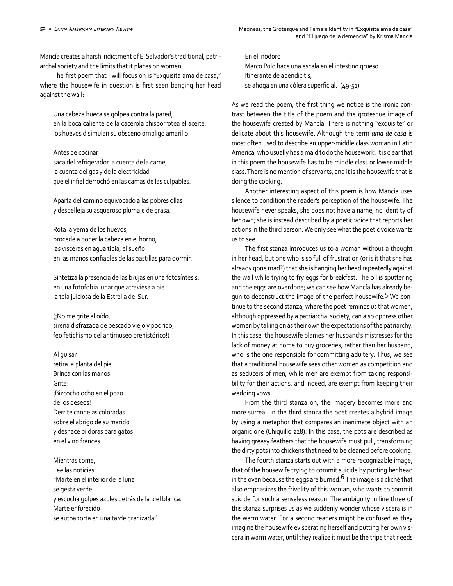Mancía creates a harsh indictment of El Salvador's traditional, patriarchal society and the limits that it places on women.

The first poem that I will focus on is "Exquisita ama de casa," where the housewife in question is first seen banging her head against the wall:

Una cabeza hueca se golpea contra la pared, en la boca caliente de la cacerola chisporrotea el aceite, los huevos disimulan su obsceno ombligo amarillo.

#### Antes de cocinar

saca del refrigerador la cuenta de la carne, la cuenta del gas y de la electricidad que el infiel derrochó en las camas de las culpables.

Aparta del camino equivocado a las pobres ollas y despelleja su asqueroso plumaje de grasa.

Rota la yema de los huevos, procede a poner la cabeza en el horno, las vísceras en agua tibia, el sueño en las manos confiables de las pastillas para dormir.

Sintetiza la presencia de las brujas en una fotosíntesis, en una fotofobia lunar que atraviesa a pie la tela juiciosa de la Estrella del Sur.

(¡No me grite al oído, sirena disfrazada de pescado viejo y podrido, feo fetichismo del antimuseo prehistórico!)

Al guisar retira la planta del pie. Brinca con las manos. Grita: ¡Bizcocho ocho en el pozo de los deseos! Derrite candelas coloradas sobre el abrigo de su marido y deshace píldoras para gatos en el vino francés.

Mientras come, Lee las noticias: "Marte en el interior de la luna se gesta verde y escucha golpes azules detrás de la piel blanca. Marte enfurecido se autoaborta en una tarde granizada".

En el inodoro Marco Polo hace una escala en el intestino grueso. Itinerante de apendicitis, se ahoga en una cólera superficial. (49-51)

As we read the poem, the first thing we notice is the ironic contrast between the title of the poem and the grotesque image of the housewife created by Mancía. There is nothing "exquisite" or delicate about this housewife. Although the term *ama de casa* is most often used to describe an upper-middle class woman in Latin America, who usually has a maid to do the housework, it is clear that in this poem the housewife has to be middle class or lower-middle class. There is no mention of servants, and it is the housewife that is doing the cooking.

Another interesting aspect of this poem is how Mancía uses silence to condition the reader's perception of the housewife. The housewife never speaks, she does not have a name, no identity of her own; she is instead described by a poetic voice that reports her actions in the third person. We only see what the poetic voice wants us to see.

The first stanza introduces us to a woman without a thought in her head, but one who is so full of frustration (or is it that she has already gone mad?) that she is banging her head repeatedly against the wall while trying to fry eggs for breakfast. The oil is sputtering and the eggs are overdone; we can see how Mancía has already begun to deconstruct the image of the perfect housewife.<sup>5</sup> We continue to the second stanza, where the poet reminds us that women, although oppressed by a patriarchal society, can also oppress other women by taking on as their own the expectations of the patriarchy. In this case, the housewife blames her husband's mistresses for the lack of money at home to buy groceries, rather than her husband, who is the one responsible for committing adultery. Thus, we see that a traditional housewife sees other women as competition and as seducers of men, while men are exempt from taking responsibility for their actions, and indeed, are exempt from keeping their wedding vows.

From the third stanza on, the imagery becomes more and more surreal. In the third stanza the poet creates a hybrid image by using a metaphor that compares an inanimate object with an organic one (Chiquillo 228). In this case, the pots are described as having greasy feathers that the housewife must pull, transforming the dirty pots into chickens that need to be cleaned before cooking.

The fourth stanza starts out with a more recognizable image, that of the housewife trying to commit suicide by putting her head in the oven because the eggs are burned.<sup>6</sup> The image is a cliché that also emphasizes the frivolity of this woman, who wants to commit suicide for such a senseless reason. The ambiguity in line three of this stanza surprises us as we suddenly wonder whose viscera is in the warm water. For a second readers might be confused as they imagine the housewife eviscerating herself and putting her own viscera in warm water, until they realize it must be the tripe that needs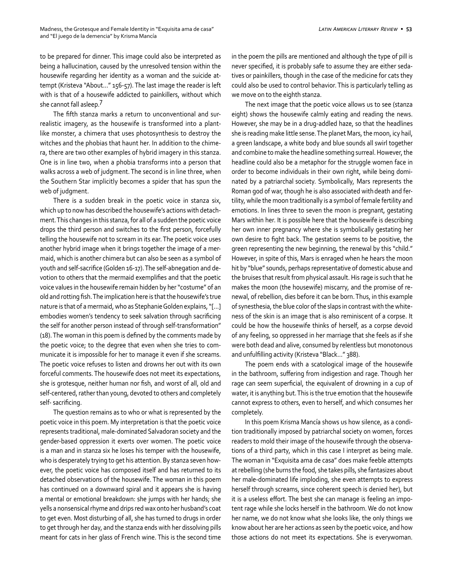to be prepared for dinner. This image could also be interpreted as being a hallucination, caused by the unresolved tension within the housewife regarding her identity as a woman and the suicide attempt (Kristeva "About…" 156-57). The last image the reader is left with is that of a housewife addicted to painkillers, without which she cannot fall asleep.7

The fifth stanza marks a return to unconventional and surrealistic imagery, as the housewife is transformed into a plantlike monster, a chimera that uses photosynthesis to destroy the witches and the phobias that haunt her. In addition to the chimera, there are two other examples of hybrid imagery in this stanza. One is in line two, when a phobia transforms into a person that walks across a web of judgment. The second is in line three, when the Southern Star implicitly becomes a spider that has spun the web of judgment.

There is a sudden break in the poetic voice in stanza six, which up to now has described the housewife's actions with detachment. This changes in this stanza, for all of a sudden the poetic voice drops the third person and switches to the first person, forcefully telling the housewife not to scream in its ear. The poetic voice uses another hybrid image when it brings together the image of a mermaid, which is another chimera but can also be seen as a symbol of youth and self-sacrifice (Golden 16-17). The self-abnegation and devotion to others that the mermaid exemplifies and that the poetic voice values in the housewife remain hidden by her "costume" of an old and rotting fish. The implication here is that the housewife's true nature is that of a mermaid, who as Stephanie Golden explains, "[…] embodies women's tendency to seek salvation through sacrificing the self for another person instead of through self-transformation" (18). The woman in this poem is defined by the comments made by the poetic voice; to the degree that even when she tries to communicate it is impossible for her to manage it even if she screams. The poetic voice refuses to listen and drowns her out with its own forceful comments. The housewife does not meet its expectations, she is grotesque, neither human nor fish, and worst of all, old and self-centered, rather than young, devoted to others and completely self- sacrificing.

The question remains as to who or what is represented by the poetic voice in this poem. My interpretation is that the poetic voice represents traditional, male-dominated Salvadoran society and the gender-based oppression it exerts over women. The poetic voice is a man and in stanza six he loses his temper with the housewife, who is desperately trying to get his attention. By stanza seven however, the poetic voice has composed itself and has returned to its detached observations of the housewife. The woman in this poem has continued on a downward spiral and it appears she is having a mental or emotional breakdown: she jumps with her hands; she yells a nonsensical rhyme and drips red wax onto her husband's coat to get even. Most disturbing of all, she has turned to drugs in order to get through her day, and the stanza ends with her dissolving pills meant for cats in her glass of French wine. This is the second time

in the poem the pills are mentioned and although the type of pill is never specified, it is probably safe to assume they are either sedatives or painkillers, though in the case of the medicine for cats they could also be used to control behavior. This is particularly telling as we move on to the eighth stanza.

The next image that the poetic voice allows us to see (stanza eight) shows the housewife calmly eating and reading the news. However, she may be in a drug-addled haze, so that the headlines she is reading make little sense. The planet Mars, the moon, icy hail, a green landscape, a white body and blue sounds all swirl together and combine to make the headline something surreal. However, the headline could also be a metaphor for the struggle women face in order to become individuals in their own right, while being dominated by a patriarchal society. Symbolically, Mars represents the Roman god of war, though he is also associated with death and fertility, while the moon traditionally is a symbol of female fertility and emotions. In lines three to seven the moon is pregnant, gestating Mars within her. It is possible here that the housewife is describing her own inner pregnancy where she is symbolically gestating her own desire to fight back. The gestation seems to be positive, the green representing the new beginning, the renewal by this "child." However, in spite of this, Mars is enraged when he hears the moon hit by "blue" sounds, perhaps representative of domestic abuse and the bruises that result from physical assault. His rage is such that he makes the moon (the housewife) miscarry, and the promise of renewal, of rebellion, dies before it can be born. Thus, in this example of synesthesia, the blue color of the slaps in contrast with the whiteness of the skin is an image that is also reminiscent of a corpse. It could be how the housewife thinks of herself, as a corpse devoid of any feeling, so oppressed in her marriage that she feels as if she were both dead and alive, consumed by relentless but monotonous and unfulfilling activity (Kristeva "Black…" 388).

The poem ends with a scatological image of the housewife in the bathroom, suffering from indigestion and rage. Though her rage can seem superficial, the equivalent of drowning in a cup of water, it is anything but. This is the true emotion that the housewife cannot express to others, even to herself, and which consumes her completely.

In this poem Krisma Mancía shows us how silence, as a condition traditionally imposed by patriarchal society on women, forces readers to mold their image of the housewife through the observations of a third party, which in this case I interpret as being male. The woman in "Exquisita ama de casa" does make feeble attempts at rebelling (she burns the food, she takes pills, she fantasizes about her male-dominated life imploding, she even attempts to express herself through screams, since coherent speech is denied her), but it is a useless effort. The best she can manage is feeling an impotent rage while she locks herself in the bathroom. We do not know her name, we do not know what she looks like, the only things we know about her are her actions as seen by the poetic voice, and how those actions do not meet its expectations. She is everywoman.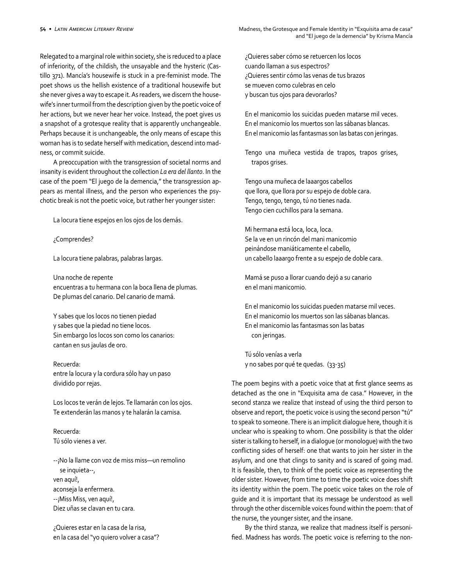Relegated to a marginal role within society, she is reduced to a place of inferiority, of the childish, the unsayable and the hysteric (Castillo 371). Mancía's housewife is stuck in a pre-feminist mode. The poet shows us the hellish existence of a traditional housewife but she never gives a way to escape it. As readers, we discern the housewife's inner turmoil from the description given by the poetic voice of her actions, but we never hear her voice. Instead, the poet gives us a snapshot of a grotesque reality that is apparently unchangeable. Perhaps because it is unchangeable, the only means of escape this woman has is to sedate herself with medication, descend into madness, or commit suicide.

A preoccupation with the transgression of societal norms and insanity is evident throughout the collection *La era del llanto*. In the case of the poem "El juego de la demencia," the transgression appears as mental illness, and the person who experiences the psychotic break is not the poetic voice, but rather her younger sister:

La locura tiene espejos en los ojos de los demás.

¿Comprendes?

La locura tiene palabras, palabras largas.

Una noche de repente encuentras a tu hermana con la boca llena de plumas. De plumas del canario. Del canario de mamá.

Y sabes que los locos no tienen piedad y sabes que la piedad no tiene locos. Sin embargo los locos son como los canarios: cantan en sus jaulas de oro.

#### Recuerda:

entre la locura y la cordura sólo hay un paso dividido por rejas.

Los locos te verán de lejos. Te llamarán con los ojos. Te extenderán las manos y te halarán la camisa.

Recuerda: Tú sólo vienes a ver.

--¡No la llame con voz de miss miss—un remolino se inquieta--, ven aquí!, aconseja la enfermera. --¡Miss Miss, ven aquí!, Diez uñas se clavan en tu cara.

¿Quieres estar en la casa de la risa, en la casa del "yo quiero volver a casa"? ¿Quieres saber cómo se retuercen los locos cuando llaman a sus espectros? ¿Quieres sentir cómo las venas de tus brazos se mueven como culebras en celo y buscan tus ojos para devorarlos?

En el manicomio los suicidas pueden matarse mil veces. En el manicomio los muertos son las sábanas blancas. En el manicomio las fantasmas son las batas con jeringas.

Tengo una muñeca vestida de trapos, trapos grises, trapos grises.

Tengo una muñeca de laaargos cabellos que llora, que llora por su espejo de doble cara. Tengo, tengo, tengo, tú no tienes nada. Tengo cien cuchillos para la semana.

Mi hermana está loca, loca, loca. Se la ve en un rincón del mani manicomio peinándose maniáticamente el cabello, un cabello laaargo frente a su espejo de doble cara.

Mamá se puso a llorar cuando dejó a su canario en el mani manicomio.

En el manicomio los suicidas pueden matarse mil veces. En el manicomio los muertos son las sábanas blancas. En el manicomio las fantasmas son las batas con jeringas.

Tú sólo venías a verla y no sabes por qué te quedas. (33-35)

The poem begins with a poetic voice that at first glance seems as detached as the one in "Exquisita ama de casa." However, in the second stanza we realize that instead of using the third person to observe and report, the poetic voice is using the second person "tú" to speak to someone. There is an implicit dialogue here, though it is unclear who is speaking to whom. One possibility is that the older sister is talking to herself, in a dialogue (or monologue) with the two conflicting sides of herself: one that wants to join her sister in the asylum, and one that clings to sanity and is scared of going mad. It is feasible, then, to think of the poetic voice as representing the older sister. However, from time to time the poetic voice does shift its identity within the poem. The poetic voice takes on the role of guide and it is important that its message be understood as well through the other discernible voices found within the poem: that of the nurse, the younger sister, and the insane.

By the third stanza, we realize that madness itself is personified. Madness has words. The poetic voice is referring to the non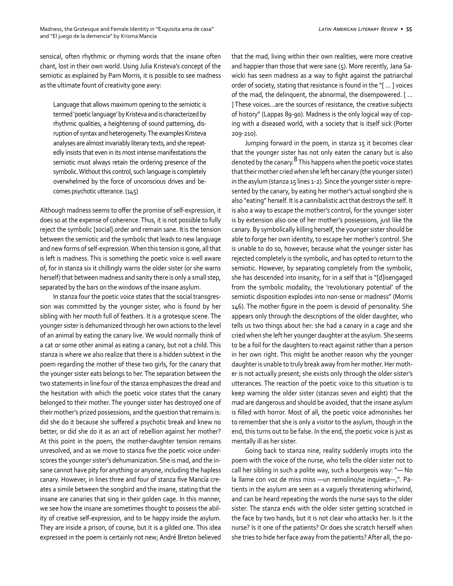sensical, often rhythmic or rhyming words that the insane often chant, lost in their own world. Using Julia Kristeva's concept of the semiotic as explained by Pam Morris, it is possible to see madness as the ultimate fount of creativity gone awry:

Language that allows maximum opening to the semiotic is termed 'poetic language' by Kristeva and is characterized by rhythmic qualities, a heightening of sound patterning, disruption of syntax and heterogeneity. The examples Kristeva analyses are almost invariably literary texts, and she repeatedly insists that even in its most intense manifestations the semiotic must always retain the ordering presence of the symbolic. Without this control, such language is completely overwhelmed by the force of unconscious drives and becomes psychotic utterance. (145)

Although madness seems to offer the promise of self-expression, it does so at the expense of coherence. Thus, it is not possible to fully reject the symbolic [social] order and remain sane. It is the tension between the semiotic and the symbolic that leads to new language and new forms of self-expression. When this tension is gone, all that is left is madness. This is something the poetic voice is well aware of, for in stanza six it chillingly warns the older sister (or she warns herself) that between madness and sanity there is only a small step, separated by the bars on the windows of the insane asylum.

In stanza four the poetic voice states that the social transgression was committed by the younger sister, who is found by her sibling with her mouth full of feathers. It is a grotesque scene. The younger sister is dehumanized through her own actions to the level of an animal by eating the canary live. We would normally think of a cat or some other animal as eating a canary, but not a child. This stanza is where we also realize that there is a hidden subtext in the poem regarding the mother of these two girls, for the canary that the younger sister eats belongs to her. The separation between the two statements in line four of the stanza emphasizes the dread and the hesitation with which the poetic voice states that the canary belonged to their mother. The younger sister has destroyed one of their mother's prized possessions, and the question that remains is: did she do it because she suffered a psychotic break and knew no better, or did she do it as an act of rebellion against her mother? At this point in the poem, the mother-daughter tension remains unresolved, and as we move to stanza five the poetic voice underscores the younger sister's dehumanization. She is mad, and the insane cannot have pity for anything or anyone, including the hapless canary. However, in lines three and four of stanza five Mancía creates a simile between the songbird and the insane, stating that the insane are canaries that sing in their golden cage. In this manner, we see how the insane are sometimes thought to possess the ability of creative self-expression, and to be happy inside the asylum. They are inside a prison, of course, but it is a gilded one. This idea expressed in the poem is certainly not new; André Breton believed

that the mad, living within their own realities, were more creative and happier than those that were sane (5). More recently, Jana Sawicki has seen madness as a way to fight against the patriarchal order of society, stating that resistance is found in the "[ … ] voices of the mad, the delinquent, the abnormal, the disempowered. [ … ] These voices…are the sources of resistance, the creative subjects of history" (Lappas 89-90). Madness is the only logical way of coping with a diseased world, with a society that is itself sick (Porter 209-210).

Jumping forward in the poem, in stanza 15 it becomes clear that the younger sister has not only eaten the canary but is also denoted by the canary. $8$  This happens when the poetic voice states that their mother cried when she left her canary (the younger sister) in the asylum (stanza 15 lines 1-2). Since the younger sister is represented by the canary, by eating her mother's actual songbird she is also "eating" herself. It is a cannibalistic act that destroys the self. It is also a way to escape the mother's control, for the younger sister is by extension also one of her mother's possessions, just like the canary. By symbolically killing herself, the younger sister should be able to forge her own identity, to escape her mother's control. She is unable to do so, however, because what the younger sister has rejected completely is the symbolic, and has opted to return to the semiotic. However, by separating completely from the symbolic, she has descended into insanity, for in a self that is "[d]isengaged from the symbolic modality, the 'revolutionary potential' of the semiotic disposition explodes into non-sense or madness" (Morris 146). The mother figure in the poem is devoid of personality. She appears only through the descriptions of the older daughter, who tells us two things about her: she had a canary in a cage and she cried when she left her younger daughter at the asylum. She seems to be a foil for the daughters to react against rather than a person in her own right. This might be another reason why the younger daughter is unable to truly break away from her mother. Her mother is not actually present; she exists only through the older sister's utterances. The reaction of the poetic voice to this situation is to keep warning the older sister (stanzas seven and eight) that the mad are dangerous and should be avoided, that the insane asylum is filled with horror. Most of all, the poetic voice admonishes her to remember that she is only a visitor to the asylum, though in the end, this turns out to be false. In the end, the poetic voice is just as mentally ill as her sister.

Going back to stanza nine, reality suddenly irrupts into the poem with the voice of the nurse, who tells the older sister not to call her sibling in such a polite way, such a bourgeois way: "— No la llame con voz de miss miss —un remolino/se inquieta—,". Patients in the asylum are seen as a vaguely threatening whirlwind, and can be heard repeating the words the nurse says to the older sister. The stanza ends with the older sister getting scratched in the face by two hands, but it is not clear who attacks her. Is it the nurse? Is it one of the patients? Or does she scratch herself when she tries to hide her face away from the patients? After all, the po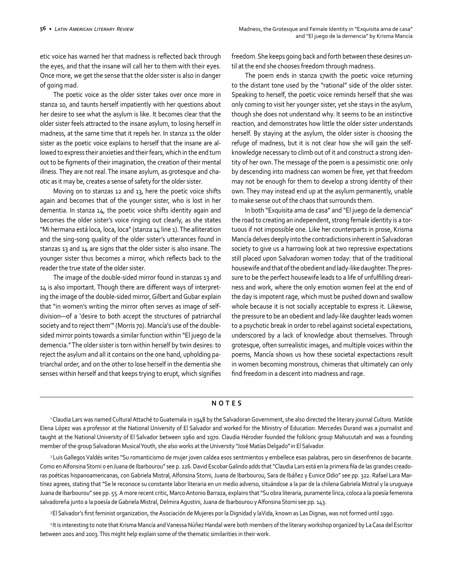etic voice has warned her that madness is reflected back through the eyes, and that the insane will call her to them with their eyes. Once more, we get the sense that the older sister is also in danger of going mad.

The poetic voice as the older sister takes over once more in stanza 10, and taunts herself impatiently with her questions about her desire to see what the asylum is like. It becomes clear that the older sister feels attracted to the insane asylum, to losing herself in madness, at the same time that it repels her. In stanza 11 the older sister as the poetic voice explains to herself that the insane are allowed to express their anxieties and their fears, which in the end turn out to be figments of their imagination, the creation of their mental illness. They are not real. The insane asylum, as grotesque and chaotic as it may be, creates a sense of safety for the older sister.

Moving on to stanzas 12 and 13, here the poetic voice shifts again and becomes that of the younger sister, who is lost in her dementia. In stanza 14, the poetic voice shifts identity again and becomes the older sister's voice ringing out clearly, as she states "Mi hermana está loca, loca, loca" (stanza 14 line 1). The alliteration and the sing-song quality of the older sister's utterances found in stanzas 13 and 14 are signs that the older sister is also insane. The younger sister thus becomes a mirror, which reflects back to the reader the true state of the older sister.

The image of the double-sided mirror found in stanzas 13 and 14 is also important. Though there are different ways of interpreting the image of the double-sided mirror, Gilbert and Gubar explain that "in women's writing the mirror often serves as image of selfdivision—of a 'desire to both accept the structures of patriarchal society and to reject them'" (Morris 70). Mancía's use of the doublesided mirror points towards a similar function within "El juego de la demencia." The older sister is torn within herself by twin desires: to reject the asylum and all it contains on the one hand, upholding patriarchal order, and on the other to lose herself in the dementia she senses within herself and that keeps trying to erupt, which signifies

freedom. She keeps going back and forth between these desires until at the end she chooses freedom through madness.

The poem ends in stanza 17with the poetic voice returning to the distant tone used by the "rational" side of the older sister. Speaking to herself, the poetic voice reminds herself that she was only coming to visit her younger sister, yet she stays in the asylum, though she does not understand why. It seems to be an instinctive reaction, and demonstrates how little the older sister understands herself. By staying at the asylum, the older sister is choosing the refuge of madness, but it is not clear how she will gain the selfknowledge necessary to climb out of it and construct a strong identity of her own. The message of the poem is a pessimistic one: only by descending into madness can women be free, yet that freedom may not be enough for them to develop a strong identity of their own. They may instead end up at the asylum permanently, unable to make sense out of the chaos that surrounds them.

In both "Exquisita ama de casa" and "El juego de la demencia" the road to creating an independent, strong female identity is a tortuous if not impossible one. Like her counterparts in prose, Krisma Mancía delves deeply into the contradictions inherent in Salvadoran society to give us a harrowing look at two repressive expectations still placed upon Salvadoran women today: that of the traditional housewife and that of the obedient and lady-like daughter. The pressure to be the perfect housewife leads to a life of unfulfilling dreariness and work, where the only emotion women feel at the end of the day is impotent rage, which must be pushed down and swallow whole because it is not socially acceptable to express it. Likewise, the pressure to be an obedient and lady-like daughter leads women to a psychotic break in order to rebel against societal expectations, underscored by a lack of knowledge about themselves. Through grotesque, often surrealistic images, and multiple voices within the poems, Mancía shows us how these societal expectactions result in women becoming monstrous, chimeras that ultimately can only find freedom in a descent into madness and rage.

### **NOTES**

1 Claudia Lars was named Cultural Attaché to Guatemala in 1948 by the Salvadoran Government, she also directed the literary journal *Cultura*. Matilde Elena López was a professor at the National University of El Salvador and worked for the Ministry of Education. Mercedes Durand was a journalist and taught at the National University of El Salvador between 1960 and 1970. Claudia Hérodier founded the folkloric group Mahucutah and was a founding member of the group Salvadoran Musical Youth, she also works at the University "José Matías Delgado" in El Salvador.

<sup>2</sup> Luis Gallegos Valdés writes "Su romanticismo de mujer joven caldea esos sentmientos y embellece esas palabras, pero sin desenfrenos de bacante. Como en Alfonsina Storni o en Juana de Ibarbourou" see p. 226. David Escobar Galindo adds that "Claudia Lars está en la primera fila de las grandes creadoras poéticas hispanoamericanas, con Gabriela Mistral, Alfonsina Storni, Juana de Ibarbourou, Sara de Ibáñez y Eunice Odio" see pp. 322. Rafael Lara Martínez agrees, stating that "Se le reconoce su constante labor literaria en un medio adverso, situándose a la par de la chilena Gabriela Mistral y la uruguaya Juana de Ibarbourou" see pp. 55. A more recent critic, Marco Antonio Barraza, explains that "Su obra literaria, puramente lírica, coloca a la poesía femenina salvadoreña junto a la poesía de Gabriela Mistral, Delmira Agustini, Juana de Ibarbourou y Alfonsina Storni see pp. 143.

<sup>3</sup>El Salvador's first feminist organization, the Asociación de Mujeres por la Dignidad y la Vida, known as Las Dignas, was not formed until 1990.

<sup>4</sup>It is interesting to note that Krisma Mancía and Vanessa Núñez Handal were both members of the literary workshop organized by La Casa del Escritor between 2001 and 2003. This might help explain some of the thematic similarities in their work.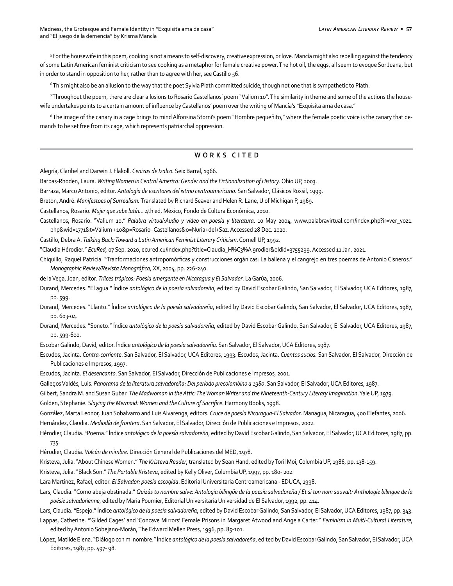Madness, the Grotesque and Female Identity in "Exquisita ama de casa" **LATIN AMERICAN LITERARY REVIEW •** 57 and "El juego de la demencia" by Krisma Mancía

5 For the housewife in this poem, cooking is not a means to self-discovery, creative expression, or love. Mancía might also rebelling against the tendency of some Latin American feminist criticism to see cooking as a metaphor for female creative power. The hot oil, the eggs, all seem to evoque Sor Juana, but in order to stand in opposition to her, rather than to agree with her, see Castillo 56.

6 This might also be an allusion to the way that the poet Sylvia Plath committed suicide, though not one that is sympathetic to Plath.

7 Throughout the poem, there are clear allusions to Rosario Castellanos' poem "Valium 10". The similarity in theme and some of the actions the housewife undertakes points to a certain amount of influence by Castellanos' poem over the writing of Mancía's "Exquisita ama de casa."

<sup>8</sup> The image of the canary in a cage brings to mind Alfonsina Storni's poem "Hombre pequeñito," where the female poetic voice is the canary that demands to be set free from its cage, which represents patriarchal oppression.

## **WORKS CITED**

Alegría, Claribel and Darwin J. Flakoll. *Cenizas de Izalco.* Seix Barral, 1966.

Barbas-Rhoden, Laura. *Writing Women in Central America: Gender and the Fictionalization of History*. Ohio UP, 2003.

Barraza, Marco Antonio, editor. *Antología de escritores del istmo centroamericano*. San Salvador, Clásicos Roxsil, 1999.

Breton, André. *Manifestoes of Surrealism.* Translated by Richard Seaver and Helen R. Lane, U of Michigan P, 1969.

Castellanos, Rosario. *Mujer que sabe latín…* 4th ed, México, Fondo de Cultura Económica, 2010.

Castellanos, Rosario. "Valium 10." *Palabra virtual:Audio y video en poesía y literatura*. 10 May 2004, www.palabravirtual.com/index.php?ir=ver\_voz1. php&wid=1771&t=Valium +10&p=Rosario+Castellanos&o=Nuria+del+Saz. Accessed 28 Dec. 2020.

Castillo, Debra A. *Talking Back: Toward a Latin American Feminist Literary Criticism*. Cornell UP, 1992.

"Claudia Hérodier." *EcuRed,* 07 Sep. 2020, ecured.cu/index.php?title=Claudia\_H%C3%A 9rodier&oldid=3755299. Accessed 11 Jan. 2021.

Chiquillo, Raquel Patricia. "Tranformaciones antropomórficas y construcciones orgánicas: La ballena y el cangrejo en tres poemas de Antonio Cisneros." *Monographic Review/Revista Monográfica,* XX, 2004, pp. 226-240.

de la Vega, Joan, editor. *Trilces trópicos: Poesía emergente en Nicaragua y El Salvador*. La Garúa, 2006.

Durand, Mercedes. "El agua." ĺndice *antológico de la poesía salvadoreña*, edited by David Escobar Galindo, San Salvador, El Salvador, UCA Editores, 1987, pp. 599.

Durand, Mercedes. "Llanto." ĺndice *antológico de la poesía salvadoreña*, edited by David Escobar Galindo, San Salvador, El Salvador, UCA Editores, 1987, pp. 603-04.

Durand, Mercedes. "Soneto." ĺndice *antológico de la poesía salvadoreña*, edited by David Escobar Galindo, San Salvador, El Salvador, UCA Editores, 1987, pp. 599-600.

Escobar Galindo, David, editor. ĺndice *antológico de la poesía salvadoreña*. San Salvador, El Salvador, UCA Editores, 1987.

Escudos, Jacinta. *Contra-corriente*. San Salvador, El Salvador, UCA Editores, 1993. Escudos, Jacinta. *Cuentos sucios.* San Salvador, El Salvador, Dirección de Publicaciones e Impresos, 1997.

Escudos, Jacinta. *El desencanto*. San Salvador, El Salvador, Dirección de Publicaciones e Impresos, 2001.

Gallegos Valdés, Luis. *Panorama de la literatura salvadoreña: Del período precolombino a 1980*. San Salvador, El Salvador, UCA Editores, 1987.

Gilbert, Sandra M. and Susan Gubar. *The Madwoman in the Attic: The Woman Writer and the Nineteenth-Century Literary Imagination*. Yale UP, 1979.

Golden, Stephanie. *Slaying the Mermaid: Women and the Culture of Sacrifice*. Harmony Books, 1998.

González, Marta Leonor, Juan Sobalvarro and Luis Alvarenga, editors. *Cruce de poesía Nicaragua-El Salvador*. Managua, Nicaragua, 400 Elefantes, 2006. Hernández, Claudia. *Mediodía de frontera*. San Salvador, El Salvador, Dirección de Publicaciones e Impresos, 2002.

Hérodier, Claudia. "Poema." ĺndice *antológico de la poesía salvadoreña*, edited by David Escobar Galindo, San Salvador, El Salvador, UCA Editores, 1987, pp. 735.

Hérodier, Claudia. *Volcán de mimbre*. Dirección General de Publicaciones del MED, 1978.

Kristeva, Julia. "About Chinese Women." *The Kristeva Reader*, translated by Sean Hand, edited by Toril Moi, Columbia UP, 1986, pp. 138-159.

Kristeva, Julia. "Black Sun." *The Portable Kristeva*, edited by Kelly Oliver, Columbia UP, 1997, pp. 180- 202.

Lara Martínez, Rafael, editor. *El Salvador: poesía escogida*. Editorial Universitaria Centroamericana - EDUCA, 1998.

Lars, Claudia. "Como abeja obstinada." *Quizás tu nombre salve: Antología bilingüe de la poesía salvadoreña / Et si ton nom sauvait: Anthologie bilingue de la poésie salvadorienne*, edited by Maria Poumier, Editorial Universitaria Universidad de El Salvador, 1992, pp. 414.

Lars, Claudia. "Espejo." ĺndice *antológico de la poesía salvadoreña*, edited by David Escobar Galindo, San Salvador, El Salvador, UCA Editores, 1987, pp. 343.

Lappas, Catherine. "'Gilded Cages' and 'Concave Mirrors' Female Prisons in Margaret Atwood and Angela Carter." *Feminism in Multi-Cultural Literature*, edited by Antonio Sobejano-Morán, The Edward Mellen Press, 1996, pp. 85-101.

López, Matilde Elena. "Diálogo con mi nombre." ĺndice *antológico de la poesía salvadoreña*, edited by David Escobar Galindo, San Salvador, El Salvador, UCA Editores, 1987, pp. 497- 98.